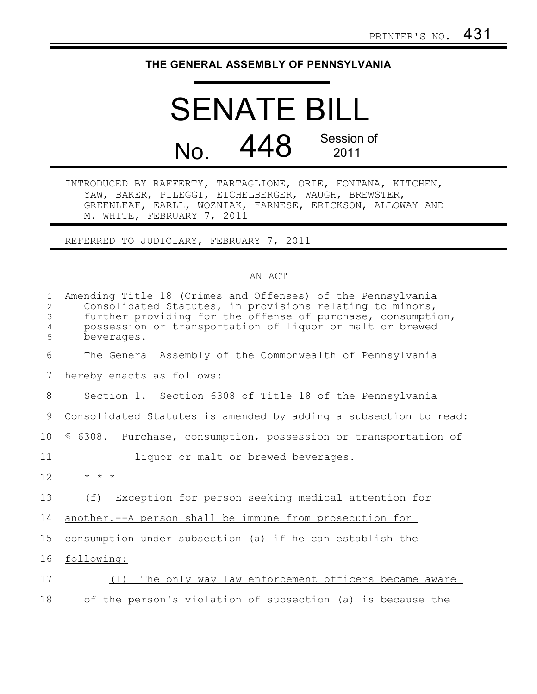## **THE GENERAL ASSEMBLY OF PENNSYLVANIA**

## SENATE BILL No. 448 Session of 2011

INTRODUCED BY RAFFERTY, TARTAGLIONE, ORIE, FONTANA, KITCHEN, YAW, BAKER, PILEGGI, EICHELBERGER, WAUGH, BREWSTER, GREENLEAF, EARLL, WOZNIAK, FARNESE, ERICKSON, ALLOWAY AND M. WHITE, FEBRUARY 7, 2011

REFERRED TO JUDICIARY, FEBRUARY 7, 2011

## AN ACT

| $\mathbf{1}$<br>2<br>3<br>4<br>5 | Amending Title 18 (Crimes and Offenses) of the Pennsylvania<br>Consolidated Statutes, in provisions relating to minors,<br>further providing for the offense of purchase, consumption,<br>possession or transportation of liquor or malt or brewed<br>beverages. |
|----------------------------------|------------------------------------------------------------------------------------------------------------------------------------------------------------------------------------------------------------------------------------------------------------------|
| 6                                | The General Assembly of the Commonwealth of Pennsylvania                                                                                                                                                                                                         |
| 7                                | hereby enacts as follows:                                                                                                                                                                                                                                        |
| 8                                | Section 1. Section 6308 of Title 18 of the Pennsylvania                                                                                                                                                                                                          |
| 9                                | Consolidated Statutes is amended by adding a subsection to read:                                                                                                                                                                                                 |
| 10                               | \$ 6308. Purchase, consumption, possession or transportation of                                                                                                                                                                                                  |
| 11                               | liquor or malt or brewed beverages.                                                                                                                                                                                                                              |
| 12                               | $\star$ $\star$ $\star$                                                                                                                                                                                                                                          |
| 13                               | Exception for person seeking medical attention for<br>(f)                                                                                                                                                                                                        |
| 14                               | another. -- A person shall be immune from prosecution for                                                                                                                                                                                                        |
| 15                               | consumption under subsection (a) if he can establish the                                                                                                                                                                                                         |
| 16                               | following:                                                                                                                                                                                                                                                       |
| 17                               | The only way law enforcement officers became aware<br>(1)                                                                                                                                                                                                        |
| 18                               | of the person's violation of subsection (a) is because the                                                                                                                                                                                                       |